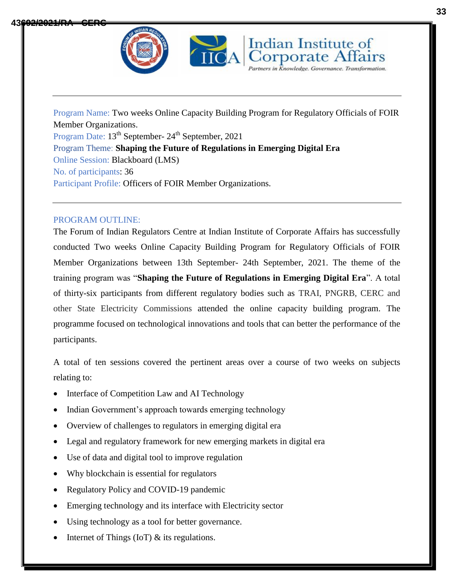



Indian Institute of **Corporate Affairs** 

## PROGRAM OUTLINE:

The Forum of Indian Regulators Centre at Indian Institute of Corporate Affairs has successfully conducted Two weeks Online Capacity Building Program for Regulatory Officials of FOIR Member Organizations between 13th September- 24th September, 2021. The theme of the training program was "**Shaping the Future of Regulations in Emerging Digital Era**". A total of thirty-six participants from different regulatory bodies such as TRAI, PNGRB, CERC and other State Electricity Commissions attended the online capacity building program. The programme focused on technological innovations and tools that can better the performance of the participants.

A total of ten sessions covered the pertinent areas over a course of two weeks on subjects relating to:

- Interface of Competition Law and AI Technology
- Indian Government's approach towards emerging technology
- Overview of challenges to regulators in emerging digital era
- Legal and regulatory framework for new emerging markets in digital era
- Use of data and digital tool to improve regulation
- Why blockchain is essential for regulators
- Regulatory Policy and COVID-19 pandemic
- Emerging technology and its interface with Electricity sector
- Using technology as a tool for better governance.
- Internet of Things (IoT) & its regulations.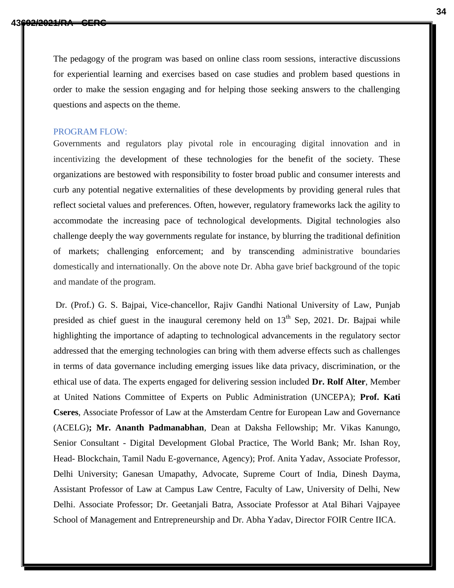The pedagogy of the program was based on online class room sessions, interactive discussions for experiential learning and exercises based on case studies and problem based questions in order to make the session engaging and for helping those seeking answers to the challenging questions and aspects on the theme.

## PROGRAM FLOW:

Governments and regulators play pivotal role in encouraging digital innovation and in incentivizing the development of these technologies for the benefit of the society. These organizations are bestowed with responsibility to foster broad public and consumer interests and curb any potential negative externalities of these developments by providing general rules that reflect societal values and preferences. Often, however, regulatory frameworks lack the agility to accommodate the increasing pace of technological developments. Digital technologies also challenge deeply the way governments regulate for instance, by blurring the traditional definition of markets; challenging enforcement; and by transcending administrative boundaries domestically and internationally. On the above note Dr. Abha gave brief background of the topic and mandate of the program.

Dr. (Prof.) G. S. Bajpai, Vice-chancellor, Rajiv Gandhi National University of Law, Punjab presided as chief guest in the inaugural ceremony held on  $13<sup>th</sup>$  Sep, 2021. Dr. Bajpai while highlighting the importance of adapting to technological advancements in the regulatory sector addressed that the emerging technologies can bring with them adverse effects such as challenges in terms of data governance including emerging issues like data privacy, discrimination, or the ethical use of data. The experts engaged for delivering session included **Dr. Rolf Alter**, Member at United Nations Committee of Experts on Public Administration (UNCEPA); **Prof. Kati Cseres**, Associate Professor of Law at the [Amsterdam Centre for European Law and Governance](https://acelg.uva.nl/)  [\(ACELG\)](https://acelg.uva.nl/)**; Mr. Ananth Padmanabhan**, Dean at Daksha Fellowship; Mr. Vikas Kanungo, Senior Consultant - Digital Development Global Practice, The World Bank; Mr. Ishan Roy, Head- Blockchain, Tamil Nadu E-governance, Agency); Prof. Anita Yadav, Associate Professor, Delhi University; Ganesan Umapathy, Advocate, Supreme Court of India, Dinesh Dayma, Assistant Professor of Law at Campus Law Centre, Faculty of Law, University of Delhi, New Delhi. Associate Professor; Dr. Geetanjali Batra, Associate Professor at Atal Bihari Vajpayee School of Management and Entrepreneurship and Dr. Abha Yadav, Director FOIR Centre IICA.